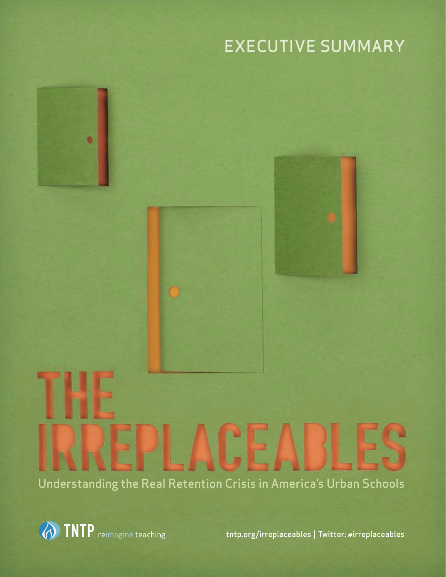# EXECUTIVE SUMMARY





Understanding the Real Retention Crisis in America's Urban Schools



tntp.org/irreplaceables | Twitter: #irreplaceables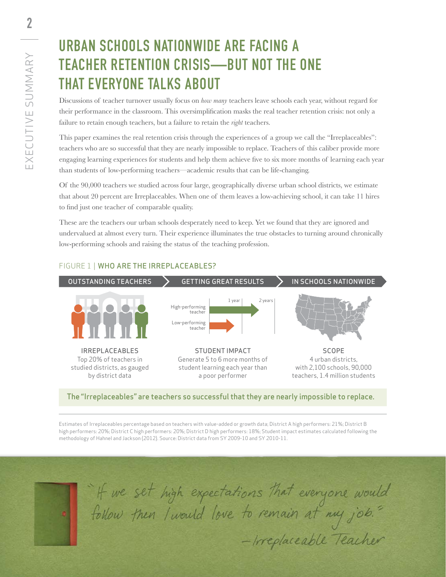### Urban schools nationwide are facing a teacher retention crisis—but not the one that everyone talks about

Discussions of teacher turnover usually focus on *how many* teachers leave schools each year, without regard for their performance in the classroom. This oversimplification masks the real teacher retention crisis: not only a failure to retain enough teachers, but a failure to retain the *right* teachers.

This paper examines the real retention crisis through the experiences of a group we call the "Irreplaceables": teachers who are so successful that they are nearly impossible to replace. Teachers of this caliber provide more engaging learning experiences for students and help them achieve five to six more months of learning each year than students of low-performing teachers—academic results that can be life-changing.

Of the 90,000 teachers we studied across four large, geographically diverse urban school districts, we estimate that about 20 percent are Irreplaceables. When one of them leaves a low-achieving school, it can take 11 hires to find just one teacher of comparable quality.

These are the teachers our urban schools desperately need to keep. Yet we found that they are ignored and undervalued at almost every turn. Their experience illuminates the true obstacles to turning around chronically low-performing schools and raising the status of the teaching profession.



### FIGURE 1 | WHO ARE THE IRREPLACEABLES?

The "Irreplaceables" are teachers so successful that they are nearly impossible to replace.

Estimates of Irreplaceables percentage based on teachers with value-added or growth data; District A high performers: 21%; District B high performers: 20%; District C high performers: 20%; District D high performers: 18%; Student impact estimates calculated following the methodology of Hahnel and Jackson (2012). Source: District data from SY 2009-10 and SY 2010-11.



"If we set high expectations that everyone would<br>follow then I would love to remain at my job."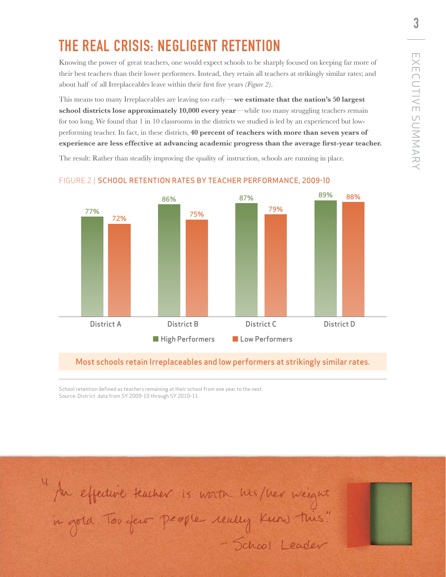### The Real Crisis: Negligent Retention

Knowing the power of great teachers, one would expect schools to be sharply focused on keeping far more of their best teachers than their lower performers. Instead, they retain all teachers at strikingly similar rates; and about half of all Irreplaceables leave within their first five years *(Figure 2)*.

This means too many Irreplaceables are leaving too early—**we estimate that the nation's 50 largest school districts lose approximately 10,000 every year—while too many struggling teachers remain** for too long. We found that 1 in 10 classrooms in the districts we studied is led by an experienced but lowperforming teacher. In fact, in these districts, **40 percent of teachers with more than seven years of experience are less effective at advancing academic progress than the average first-year teacher.**

The result: Rather than steadily improving the quality of instruction, schools are running in place.



#### FIGURE 2 | SCHOOL RETENTION RATES BY TEACHER PERFORMANCE, 2009-10

#### Most schools retain Irreplaceables and low performers at strikingly similar rates.

School retention defined as teachers remaining at their school from one year to the next. Source: District data from SY 2009-10 through SY 2010-11.

4 Au effecture teacher is worth his/her weight<br>in gold. Tou fero people really Kuns this!<br>- School Leader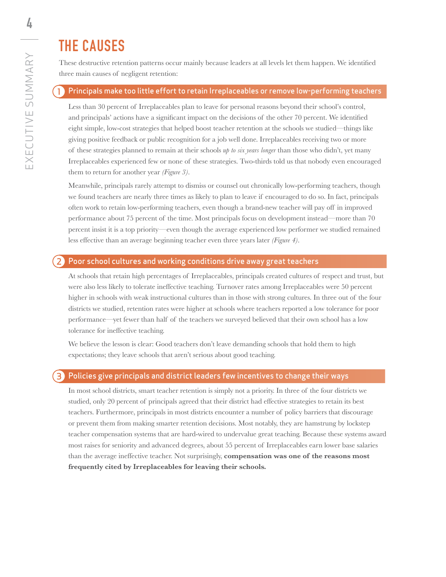## The CAUSES

These destructive retention patterns occur mainly because leaders at all levels let them happen. We identified three main causes of negligent retention:

#### Principals make too little effort to retain Irreplaceables or remove low-performing teachers 1

Less than 30 percent of Irreplaceables plan to leave for personal reasons beyond their school's control, and principals' actions have a significant impact on the decisions of the other 70 percent. We identified eight simple, low-cost strategies that helped boost teacher retention at the schools we studied—things like giving positive feedback or public recognition for a job well done. Irreplaceables receiving two or more of these strategies planned to remain at their schools *up to six years longer* than those who didn't, yet many Irreplaceables experienced few or none of these strategies. Two-thirds told us that nobody even encouraged them to return for another year *(Figure 3)*.

Meanwhile, principals rarely attempt to dismiss or counsel out chronically low-performing teachers, though we found teachers are nearly three times as likely to plan to leave if encouraged to do so. In fact, principals often work to retain low-performing teachers, even though a brand-new teacher will pay off in improved performance about 75 percent of the time. Most principals focus on development instead—more than 70 percent insist it is a top priority—even though the average experienced low performer we studied remained less effective than an average beginning teacher even three years later *(Figure 4)*.

#### Poor school cultures and working conditions drive away great teachers

At schools that retain high percentages of Irreplaceables, principals created cultures of respect and trust, but were also less likely to tolerate ineffective teaching. Turnover rates among Irreplaceables were 50 percent higher in schools with weak instructional cultures than in those with strong cultures. In three out of the four districts we studied, retention rates were higher at schools where teachers reported a low tolerance for poor performance—yet fewer than half of the teachers we surveyed believed that their own school has a low tolerance for ineffective teaching.

We believe the lesson is clear: Good teachers don't leave demanding schools that hold them to high expectations; they leave schools that aren't serious about good teaching.

#### $\mathbf{B}$ Policies give principals and district leaders few incentives to change their ways

In most school districts, smart teacher retention is simply not a priority. In three of the four districts we studied, only 20 percent of principals agreed that their district had effective strategies to retain its best teachers. Furthermore, principals in most districts encounter a number of policy barriers that discourage or prevent them from making smarter retention decisions. Most notably, they are hamstrung by lockstep teacher compensation systems that are hard-wired to undervalue great teaching. Because these systems award most raises for seniority and advanced degrees, about 55 percent of Irreplaceables earn lower base salaries than the average ineffective teacher. Not surprisingly, **compensation was one of the reasons most frequently cited by Irreplaceables for leaving their schools.**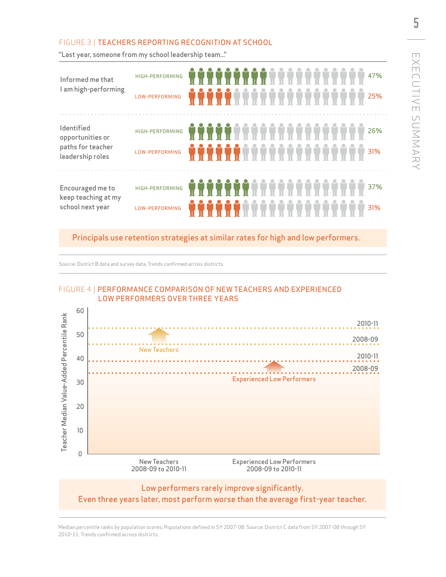### FIGURE 3 | TEACHERS REPORTING RECOGNITION AT SCHOOL

"Last year, someone from my school leadership team..."

| Informed me that<br>I am high-performing                                | HIGH-PERFORMING<br>LOW-PERFORMING | 47%<br><b>*****</b> *************<br>25%                 |  |
|-------------------------------------------------------------------------|-----------------------------------|----------------------------------------------------------|--|
| Identified<br>opportunities or<br>paths for teacher<br>leadership roles | HIGH-PERFORMING<br>LOW-PERFORMING | *****************<br>26%<br>.<br>.<br>.<br>.<br>.<br>31% |  |
| Encouraged me to<br>keep teaching at my<br>school next year             | HIGH-PERFORMING<br>LOW-PERFORMING | *******************<br>37%<br>******************<br>31%  |  |

### Principals use retention strategies at similar rates for high and low performers.

Source: District B data and survey data. Trends confirmed across districts.

#### FIGURE 4 | PERFORMANCE COMPARISON OF NEW TEACHERS AND EXPERIENCED LOW PERFORMERS OVER THREE YEARS



Median percentile ranks by population scores; Populations defined in SY 2007-08. Source: District C data from SY 2007-08 through SY 2010-11. Trends confirmed across districts.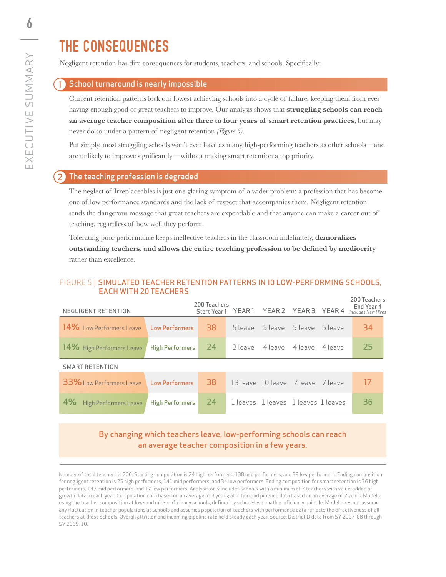## The Consequences

Negligent retention has dire consequences for students, teachers, and schools. Specifically:

#### School turnaround is nearly impossible

Current retention patterns lock our lowest achieving schools into a cycle of failure, keeping them from ever having enough good or great teachers to improve. Our analysis shows that **struggling schools can reach an average teacher composition after three to four years of smart retention practices**, but may never do so under a pattern of negligent retention *(Figure 5)*.

Put simply, most struggling schools won't ever have as many high-performing teachers as other schools—and are unlikely to improve significantly—without making smart retention a top priority.

#### The teaching profession is degraded

The neglect of Irreplaceables is just one glaring symptom of a wider problem: a profession that has become one of low performance standards and the lack of respect that accompanies them. Negligent retention sends the dangerous message that great teachers are expendable and that anyone can make a career out of teaching, regardless of how well they perform.

Tolerating poor performance keeps ineffective teachers in the classroom indefinitely, **demoralizes outstanding teachers, and allows the entire teaching profession to be defined by mediocrity** rather than excellence.

#### FIGURE 5 | SIMULATED TEACHER RETENTION PATTERNS IN 10 LOW-PERFORMING SCHOOLS, EACH WITH 20 TEACHERS

| NEGLIGENT RETENTION                            |                    | 200 Teachers |                                 |                                   |  |  | 200 Teachers<br>End Year 4<br><b>Example address</b><br>Start Year 1 YEAR 1 YEAR 2 YEAR 3 YEAR 4 Includes New Hires |  |  |  |
|------------------------------------------------|--------------------|--------------|---------------------------------|-----------------------------------|--|--|---------------------------------------------------------------------------------------------------------------------|--|--|--|
| 14% Low Performers Leave Low Performers        |                    | -38.         |                                 | 5 leave 5 leave 5 leave 5 leave   |  |  | 34                                                                                                                  |  |  |  |
| $14\%$ High Performers Leave                   | High Performers 24 |              |                                 | 3 leave 4 leave 4 leave 4 leave   |  |  | 25                                                                                                                  |  |  |  |
| <b>SMART RETENTION</b>                         |                    |              |                                 |                                   |  |  |                                                                                                                     |  |  |  |
| <b>33%</b> Low Performers Leave Low Performers |                    | 38           |                                 | 13 leave 10 leave 7 leave 7 leave |  |  | -17                                                                                                                 |  |  |  |
| 4%<br>High Performers Leave                    | High Performers    | 24           | lleaves lleaves lleaves lleaves |                                   |  |  | 36                                                                                                                  |  |  |  |

### By changing which teachers leave, low-performing schools can reach an average teacher composition in a few years.

Number of total teachers is 200. Starting composition is 24 high performers, 138 mid performers, and 38 low performers. Ending composition for negligent retention is 25 high performers, 141 mid performers, and 34 low performers. Ending composition for smart retention is 36 high performers, 147 mid performers, and 17 low performers. Analysis only includes schools with a minimum of 7 teachers with value-added or growth data in each year. Composition data based on an average of 3 years; attrition and pipeline data based on an average of 2 years. Models using the teacher composition at low- and mid-proficiency schools, defined by school-level math proficiency quintile. Model does not assume any fluctuation in teacher populations at schools and assumes population of teachers with performance data reflects the effectiveness of all teachers at these schools. Overall attrition and incoming pipeline rate held steady each year. Source: District D data from SY 2007-08 through SY 2009-10.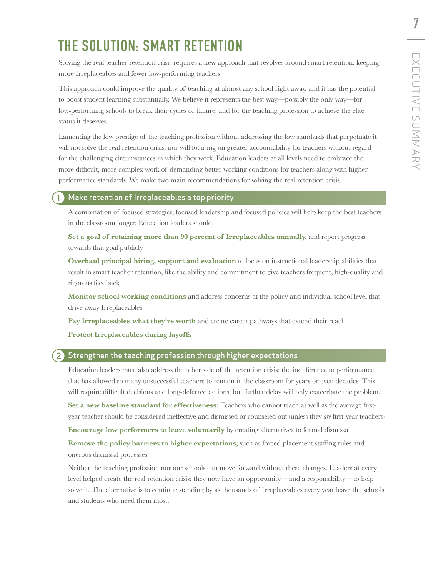### THE SOLUTION: SMART RETENTION

Solving the real teacher retention crisis requires a new approach that revolves around smart retention: keeping more Irreplaceables and fewer low-performing teachers.

This approach could improve the quality of teaching at almost any school right away, and it has the potential to boost student learning substantially. We believe it represents the best way—possibly the only way—for low-performing schools to break their cycles of failure, and for the teaching profession to achieve the elite status it deserves.

Lamenting the low prestige of the teaching profession without addressing the low standards that perpetuate it will not solve the real retention crisis, nor will focusing on greater accountability for teachers without regard for the challenging circumstances in which they work. Education leaders at all levels need to embrace the more difficult, more complex work of demanding better working conditions for teachers along with higher performance standards. We make two main recommendations for solving the real retention crisis.

#### Make retention of Irreplaceables a top priority

A combination of focused strategies, focused leadership and focused policies will help keep the best teachers in the classroom longer. Education leaders should:

**Set a goal of retaining more than 90 percent of Irreplaceables annually,** and report progress towards that goal publicly

**Overhaul principal hiring, support and evaluation** to focus on instructional leadership abilities that result in smart teacher retention, like the ability and commitment to give teachers frequent, high-quality and rigorous feedback

**Monitor school working conditions** and address concerns at the policy and individual school level that drive away Irreplaceables

Pay Irreplaceables what they're worth and create career pathways that extend their reach

**Protect Irreplaceables during layoffs**

#### 2) Strengthen the teaching profession through higher expectations

Education leaders must also address the other side of the retention crisis: the indifference to performance that has allowed so many unsuccessful teachers to remain in the classroom for years or even decades. This will require difficult decisions and long-deferred actions, but further delay will only exacerbate the problem.

**Set a new baseline standard for effectiveness:** Teachers who cannot teach as well as the average firstyear teacher should be considered ineffective and dismissed or counseled out (unless they *are* first-year teachers)

**Encourage low performers to leave voluntarily** by creating alternatives to formal dismissal

**Remove the policy barriers to higher expectations,** such as forced-placement staffing rules and onerous dismissal processes

Neither the teaching profession nor our schools can move forward without these changes. Leaders at every level helped create the real retention crisis; they now have an opportunity—and a responsibility—to help solve it. The alternative is to continue standing by as thousands of Irreplaceables every year leave the schools and students who need them most.